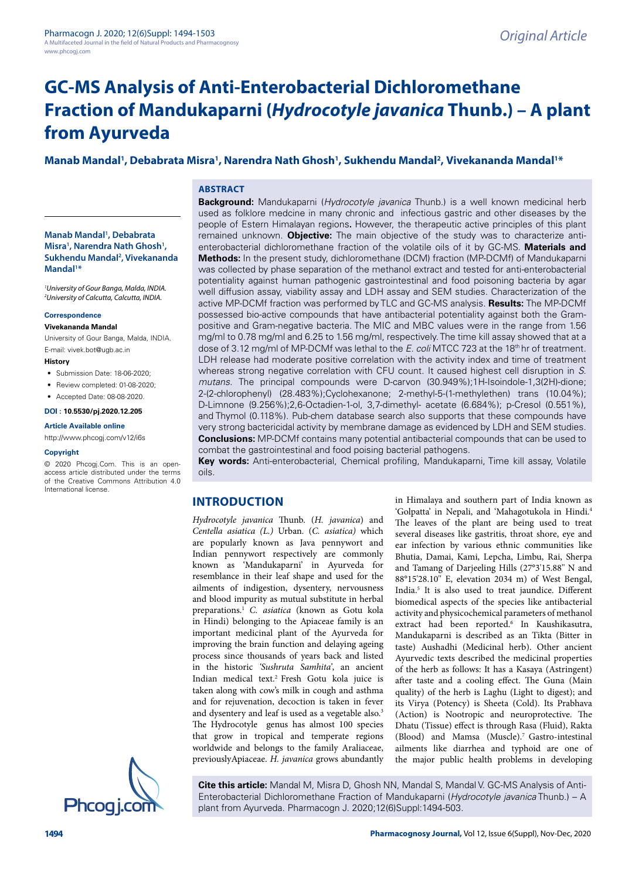# **GC-MS Analysis of Anti-Enterobacterial Dichloromethane Fraction of Mandukaparni (Hydrocotyle javanica Thunb.) – A plant from Ayurveda**

# **Manab Mandal<sup>1</sup> , Debabrata Misra<sup>1</sup> , Narendra Nath Ghosh<sup>1</sup> , Sukhendu Mandal<sup>2</sup> , Vivekananda Mandal<sup>1</sup>\***

### **ABSTRACT**

**Manab Mandal<sup>1</sup> , Debabrata Misra<sup>1</sup> , Narendra Nath Ghosh<sup>1</sup> , Sukhendu Mandal<sup>2</sup> , Vivekananda Mandal<sup>1</sup> \***

<sup>1</sup>University of Gour Banga, Malda, INDIA. <sup>2</sup>University of Calcutta, Calcutta, INDIA.

#### **Correspondence**

**Vivekananda Mandal**

University of Gour Banga, Malda, INDIA. E-mail: vivek.bot@ugb.ac.in

#### **History**

- Submission Date: 18-06-2020;
- Review completed: 01-08-2020:
- Accepted Date: 08-08-2020.

# **DOI : 10.5530/pj.2020.12.205**

**Article Available online** 

http://www.phcogj.com/v12/i6s

# **Copyright**

© 2020 Phcogj.Com. This is an openaccess article distributed under the terms of the Creative Commons Attribution 4.0 International license.



**Background:** Mandukaparni (Hydrocotyle javanica Thunb.) is a well known medicinal herb used as folklore medcine in many chronic and infectious gastric and other diseases by the people of Estern Himalayan regions**.** However, the therapeutic active principles of this plant remained unknown. **Objective:** The main objective of the study was to characterize antienterobacterial dichloromethane fraction of the volatile oils of it by GC-MS. **Materials and Methods:** In the present study, dichloromethane (DCM) fraction (MP-DCMf) of Mandukaparni was collected by phase separation of the methanol extract and tested for anti-enterobacterial potentiality against human pathogenic gastrointestinal and food poisoning bacteria by agar well diffusion assay, viability assay and LDH assay and SEM studies. Characterization of the active MP-DCMf fraction was performed by TLC and GC-MS analysis. **Results:** The MP-DCMf possessed bio-active compounds that have antibacterial potentiality against both the Grampositive and Gram-negative bacteria. The MIC and MBC values were in the range from 1.56 mg/ml to 0.78 mg/ml and 6.25 to 1.56 mg/ml, respectively. The time kill assay showed that at a dose of 3.12 mg/ml of MP-DCMf was lethal to the E. coli MTCC 723 at the 18<sup>th</sup> hr of treatment. LDH release had moderate positive correlation with the activity index and time of treatment whereas strong negative correlation with CFU count. It caused highest cell disruption in S. mutans. The principal compounds were D-carvon (30.949%);1H-Isoindole-1,3(2H)-dione; 2-(2-chlorophenyl) (28.483%);Cyclohexanone; 2-methyl-5-(1-methylethen) trans (10.04%); D-Limnone (9.256%);2,6-Octadien-1-ol, 3,7-dimethyl- acetate (6.684%); p-Cresol (0.551%), and Thymol (0.118%). Pub-chem database search also supports that these compounds have very strong bactericidal activity by membrane damage as evidenced by LDH and SEM studies. **Conclusions:** MP-DCMf contains many potential antibacterial compounds that can be used to combat the gastrointestinal and food poising bacterial pathogens.

**Key words:** Anti-enterobacterial, Chemical profiling, Mandukaparni, Time kill assay, Volatile oils.

# **INTRODUCTION**

Hydrocotyle javanica Thunb. (H. javanica) and Centella asiatica (L.) Urban. (C. asiatica) which are popularly known as Java pennywort and Indian pennywort respectively are commonly known as 'Mandukaparni' in Ayurveda for resemblance in their leaf shape and used for the ailments of indigestion, dysentery, nervousness and blood impurity as mutual substitute in herbal preparations.<sup>1</sup> C. asiatica (known as Gotu kola in Hindi) belonging to the Apiaceae family is an important medicinal plant of the Ayurveda for improving the brain function and delaying ageing process since thousands of years back and listed in the historic 'Sushruta Samhita', an ancient Indian medical text.<sup>2</sup> Fresh Gotu kola juice is taken along with cow's milk in cough and asthma and for rejuvenation, decoction is taken in fever and dysentery and leaf is used as a vegetable also.<sup>3</sup> The Hydrocotyle genus has almost 100 species that grow in tropical and temperate regions worldwide and belongs to the family Araliaceae, previouslyApiaceae. H. javanica grows abundantly

in Himalaya and southern part of India known as 'Golpatta' in Nepali, and 'Mahagotukola in Hindi.<sup>4</sup> The leaves of the plant are being used to treat several diseases like gastritis, throat shore, eye and ear infection by various ethnic communities like Bhutia, Damai, Kami, Lepcha, Limbu, Rai, Sherpa and Tamang of Darjeeling Hills (27°3'15.88'' N and 88°15'28.10'' E, elevation 2034 m) of West Bengal, India.<sup>5</sup> It is also used to treat jaundice. Different biomedical aspects of the species like antibacterial activity and physicochemical parameters of methanol extract had been reported.<sup>6</sup> In Kaushikasutra, Mandukaparni is described as an Tikta (Bitter in taste) Aushadhi (Medicinal herb). Other ancient Ayurvedic texts described the medicinal properties of the herb as follows: It has a Kasaya (Astringent) after taste and a cooling effect. The Guna (Main quality) of the herb is Laghu (Light to digest); and its Virya (Potency) is Sheeta (Cold). Its Prabhava (Action) is Nootropic and neuroprotective. The Dhatu (Tissue) effect is through Rasa (Fluid), Rakta (Blood) and Mamsa (Muscle).<sup>7</sup> Gastro-intestinal ailments like diarrhea and typhoid are one of the major public health problems in developing

**Cite this article:** Mandal M, Misra D, Ghosh NN, Mandal S, Mandal V. GC-MS Analysis of Anti-Enterobacterial Dichloromethane Fraction of Mandukaparni (Hydrocotyle javanica Thunb.) – A plant from Ayurveda. Pharmacogn J. 2020;12(6)Suppl:1494-503.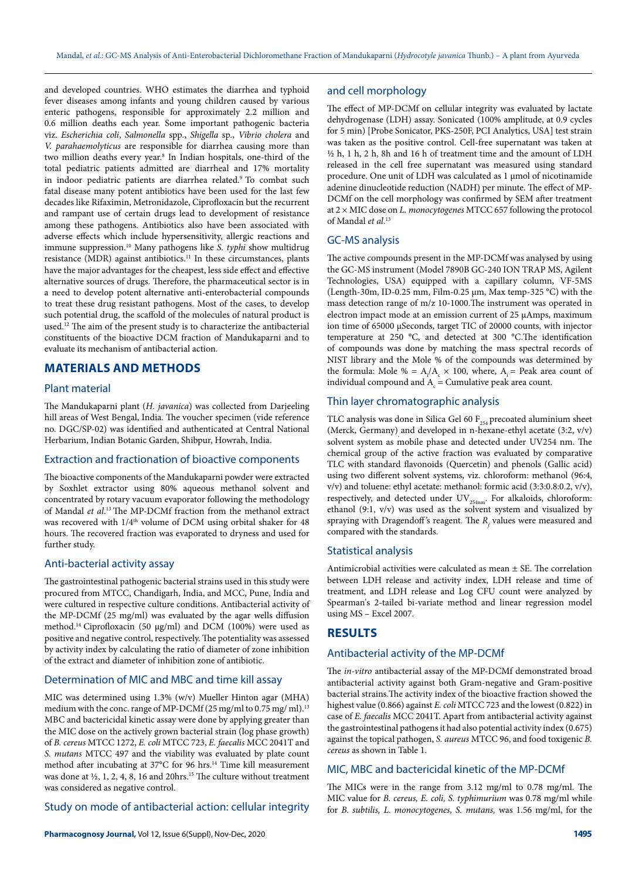and developed countries. WHO estimates the diarrhea and typhoid fever diseases among infants and young children caused by various enteric pathogens, responsible for approximately 2.2 million and 0.6 million deaths each year. Some important pathogenic bacteria viz. Escherichia coli, Salmonella spp., Shigella sp., Vibrio cholera and V. parahaemolyticus are responsible for diarrhea causing more than two million deaths every year.<sup>8</sup> In Indian hospitals, one-third of the total pediatric patients admitted are diarrheal and 17% mortality in indoor pediatric patients are diarrhea related.<sup>9</sup> To combat such fatal disease many potent antibiotics have been used for the last few decades like Rifaximin, Metronidazole, Ciprofloxacin but the recurrent and rampant use of certain drugs lead to development of resistance among these pathogens. Antibiotics also have been associated with adverse effects which include hypersensitivity, allergic reactions and immune suppression.<sup>10</sup> Many pathogens like S. typhi show multidrug resistance (MDR) against antibiotics.<sup>11</sup> In these circumstances, plants have the major advantages for the cheapest, less side effect and effective alternative sources of drugs. Therefore, the pharmaceutical sector is in a need to develop potent alternative anti-enterobacterial compounds to treat these drug resistant pathogens. Most of the cases, to develop such potential drug, the scaffold of the molecules of natural product is used.<sup>12</sup> The aim of the present study is to characterize the antibacterial constituents of the bioactive DCM fraction of Mandukaparni and to evaluate its mechanism of antibacterial action.

# **MATERIALS AND METHODS**

#### Plant material

The Mandukaparni plant (H. javanica) was collected from Darjeeling hill areas of West Bengal, India. The voucher specimen (vide reference no. DGC/SP-02) was identified and authenticated at Central National Herbarium, Indian Botanic Garden, Shibpur, Howrah, India.

### Extraction and fractionation of bioactive components

The bioactive components of the Mandukaparni powder were extracted by Soxhlet extractor using 80% aqueous methanol solvent and concentrated by rotary vacuum evaporator following the methodology of Mandal et al.<sup>13</sup> The MP-DCMf fraction from the methanol extract was recovered with  $1/4<sup>th</sup>$  volume of DCM using orbital shaker for 48 hours. The recovered fraction was evaporated to dryness and used for further study.

#### Anti-bacterial activity assay

The gastrointestinal pathogenic bacterial strains used in this study were procured from MTCC, Chandigarh, India, and MCC, Pune, India and were cultured in respective culture conditions. Antibacterial activity of the MP-DCMf (25 mg/ml) was evaluated by the agar wells diffusion method.<sup>14</sup> Ciprofloxacin (50 μg/ml) and DCM (100%) were used as positive and negative control, respectively. The potentiality was assessed by activity index by calculating the ratio of diameter of zone inhibition of the extract and diameter of inhibition zone of antibiotic.

# Determination of MIC and MBC and time kill assay

MIC was determined using 1.3% (w/v) Mueller Hinton agar (MHA) medium with the conc. range of MP-DCMf (25 mg/ml to 0.75 mg/ ml).<sup>13</sup> MBC and bactericidal kinetic assay were done by applying greater than the MIC dose on the actively grown bacterial strain (log phase growth) of B. cereus MTCC 1272, E. coli MTCC 723, E. faecalis MCC 2041T and S. mutans MTCC 497 and the viability was evaluated by plate count method after incubating at 37°C for 96 hrs.<sup>14</sup> Time kill measurement was done at  $\frac{1}{2}$ , 1, 2, 4, 8, 16 and 20hrs.<sup>15</sup> The culture without treatment was considered as negative control.

### Study on mode of antibacterial action: cellular integrity

# and cell morphology

The effect of MP-DCMf on cellular integrity was evaluated by lactate dehydrogenase (LDH) assay. Sonicated (100% amplitude, at 0.9 cycles for 5 min) [Probe Sonicator, PKS-250F, PCI Analytics, USA] test strain was taken as the positive control. Cell-free supernatant was taken at ½ h, 1 h, 2 h, 8h and 16 h of treatment time and the amount of LDH released in the cell free supernatant was measured using standard procedure. One unit of LDH was calculated as 1 μmol of nicotinamide adenine dinucleotide reduction (NADH) per minute. The effect of MP-DCMf on the cell morphology was confirmed by SEM after treatment at  $2 \times$  MIC dose on L. *monocytogenes* MTCC 657 following the protocol of Mandal *et al*.<sup>13</sup>

### GC-MS analysis

The active compounds present in the MP-DCMf was analysed by using the GC-MS instrument (Model 7890B GC-240 ION TRAP MS, Agilent Technologies, USA) equipped with a capillary column, VF-5MS (Length-30m, ID-0.25 mm, Film-0.25 µm, Max temp-325 °C) with the mass detection range of m/z 10-1000.The instrument was operated in electron impact mode at an emission current of 25 µAmps, maximum ion time of 65000 µSeconds, target TIC of 20000 counts, with injector temperature at 250 °C, and detected at 300 °C.The identification of compounds was done by matching the mass spectral records of NIST library and the Mole % of the compounds was determined by the formula: Mole % =  $A_i/A_c \times 100$ , where,  $A_i$  = Peak area count of individual compound and  $A_c$  = Cumulative peak area count.

# Thin layer chromatographic analysis

TLC analysis was done in Silica Gel 60  $F_{254}$  precoated aluminium sheet (Merck, Germany) , and developed in n-hexane-ethyl acetate (3:2, v/v) solvent system as mobile phase and detected under UV254 nm. The chemical group of the active fraction was evaluated by comparative TLC with standard flavonoids (Quercetin) and phenols (Gallic acid) using two different solvent systems, viz. chloroform: methanol (96:4,  $v/v$ ) and toluene: ethyl acetate: methanol: formic acid (3:3:0.8:0.2,  $v/v$ ), respectively, and detected under  $\mathrm{UV}_\mathrm{254nm}.$  For alkaloids, chloroform: ethanol (9:1, v/v) was used as the solvent system and visualized by spraying with Dragendoff's reagent. The  $R_f$  values were measured and compared with the standards.

### Statistical analysis

Antimicrobial activities were calculated as mean  $\pm$  SE. The correlation between LDH release and activity index, LDH release and time of treatment, and LDH release and Log CFU count were analyzed by Spearman's 2-tailed bi-variate method and linear regression model using MS – Excel 2007.

# **RESULTS**

# Antibacterial activity of the MP-DCMf

The in-vitro antibacterial assay of the MP-DCMf demonstrated broad antibacterial activity against both Gram-negative and Gram-positive bacterial strains.The activity index of the bioactive fraction showed the highest value (0.866) against E. coli MTCC 723 and the lowest (0.822) in case of E. faecalis MCC 2041T. Apart from antibacterial activity against the gastrointestinal pathogens it had also potential activity index (0.675) against the topical pathogen, S. aureus MTCC 96, and food toxigenic B. cereus as shown in Table 1.

# MIC, MBC and bactericidal kinetic of the MP-DCMf

The MICs were in the range from 3.12 mg/ml to 0.78 mg/ml. The MIC value for B. cereus, E. coli, S. typhimurium was 0.78 mg/ml while for B. subtilis, L. monocytogenes, S. mutans, was 1.56 mg/ml, for the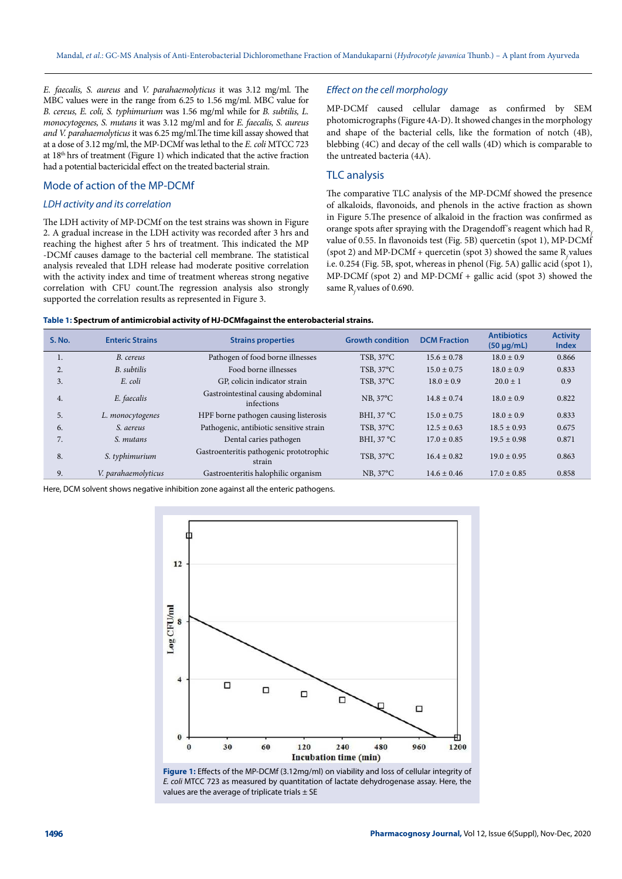E. faecalis, S. aureus and V. parahaemolyticus it was 3.12 mg/ml. The MBC values were in the range from 6.25 to 1.56 mg/ml. MBC value for B. cereus, E. coli, S. typhimurium was 1.56 mg/ml while for B. subtilis, L. monocytogenes, S. mutans it was 3.12 mg/ml and for E. faecalis, S. aureus and V. parahaemolyticus it was 6.25 mg/ml.The time kill assay showed that at a dose of 3.12 mg/ml, the MP-DCMf was lethal to the E. coli MTCC 723 at  $18<sup>th</sup>$  hrs of treatment (Figure 1) which indicated that the active fraction had a potential bactericidal effect on the treated bacterial strain.

# Mode of action of the MP-DCMf

### LDH activity and its correlation

The LDH activity of MP-DCMf on the test strains was shown in Figure 2. A gradual increase in the LDH activity was recorded after 3 hrs and reaching the highest after 5 hrs of treatment. This indicated the MP -DCMf causes damage to the bacterial cell membrane. The statistical analysis revealed that LDH release had moderate positive correlation with the activity index and time of treatment whereas strong negative correlation with CFU count.The regression analysis also strongly supported the correlation results as represented in Figure 3.

### Effect on the cell morphology

MP-DCMf caused cellular damage as confirmed by SEM photomicrographs (Figure 4A-D). It showed changes in the morphology and shape of the bacterial cells, like the formation of notch (4B), blebbing (4C) and decay of the cell walls (4D) which is comparable to the untreated bacteria (4A).

# TLC analysis

The comparative TLC analysis of the MP-DCMf showed the presence of alkaloids, flavonoids, and phenols in the active fraction as shown in Figure 5.The presence of alkaloid in the fraction was confirmed as orange spots after spraying with the Dragendoff's reagent which had  $R<sub>z</sub>$ value of 0.55. In flavonoids test (Fig. 5B) quercetin (spot 1), MP-DCMf (spot 2) and MP-DCMf + quercetin (spot 3) showed the same R values i.e. 0.254 (Fig. 5B, spot, whereas in phenol (Fig. 5A) gallic acid (spot 1), MP-DCMf (spot 2) and MP-DCMf + gallic acid (spot 3) showed the same R<sub>c</sub> values of 0.690.

| <b>S. No.</b>    | <b>Enteric Strains</b> | <b>Strains properties</b>                         | <b>Growth condition</b> | <b>DCM Fraction</b> | <b>Antibiotics</b><br>$(50 \mu g/mL)$ | <b>Activity</b><br><b>Index</b> |
|------------------|------------------------|---------------------------------------------------|-------------------------|---------------------|---------------------------------------|---------------------------------|
|                  |                        |                                                   |                         |                     |                                       |                                 |
| 1.               | B. cereus              | Pathogen of food borne illnesses                  | $TSB, 37^{\circ}C$      | $15.6 \pm 0.78$     | $18.0 \pm 0.9$                        | 0.866                           |
| $\overline{2}$ . | B. subtilis            | Food borne illnesses                              | $TSB, 37^{\circ}C$      | $15.0 \pm 0.75$     | $18.0 \pm 0.9$                        | 0.833                           |
| 3.               | E. coli                | GP, colicin indicator strain                      | $TSB, 37^{\circ}C$      | $18.0 \pm 0.9$      | $20.0 \pm 1$                          | 0.9                             |
| 4.               | E. faecalis            | Gastrointestinal causing abdominal<br>infections  | $NB, 37^{\circ}C$       | $14.8 \pm 0.74$     | $18.0 \pm 0.9$                        | 0.822                           |
| 5.               | L. monocytogenes       | HPF borne pathogen causing listerosis             | BHI, $37^{\circ}$ C     | $15.0 \pm 0.75$     | $18.0 \pm 0.9$                        | 0.833                           |
| 6.               | S. aereus              | Pathogenic, antibiotic sensitive strain           | $TSB, 37^{\circ}C$      | $12.5 \pm 0.63$     | $18.5 \pm 0.93$                       | 0.675                           |
| 7.               | S. mutans              | Dental caries pathogen                            | BHI, 37 °C              | $17.0 \pm 0.85$     | $19.5 \pm 0.98$                       | 0.871                           |
| 8.               | S. typhimurium         | Gastroenteritis pathogenic prototrophic<br>strain | TSB, 37°C               | $16.4 \pm 0.82$     | $19.0 \pm 0.95$                       | 0.863                           |
| 9.               | V. parahaemolyticus    | Gastroenteritis halophilic organism               | $NB, 37^{\circ}C$       | $14.6 \pm 0.46$     | $17.0 \pm 0.85$                       | 0.858                           |

Here, DCM solvent shows negative inhibition zone against all the enteric pathogens.



**Figure 1:** Effects of the MP-DCMf (3.12mg/ml) on viability and loss of cellular integrity of E. coli MTCC 723 as measured by quantitation of lactate dehydrogenase assay. Here, the values are the average of triplicate trials  $\pm$  SE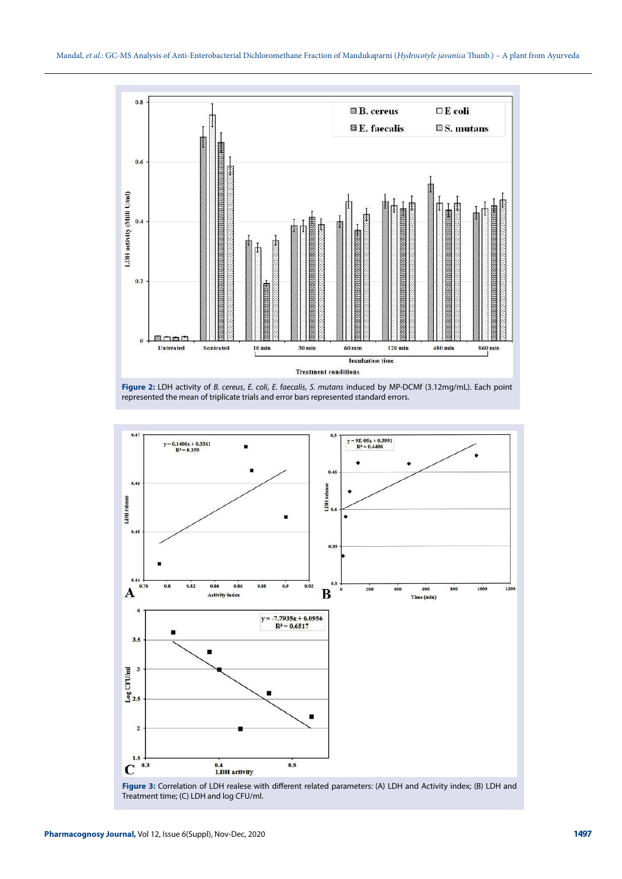





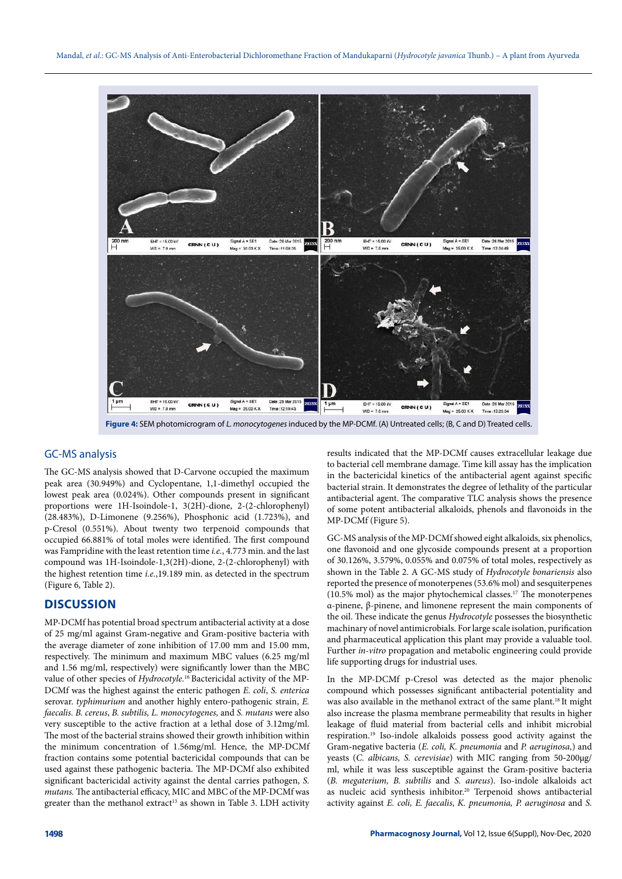

**Figure 4:** SEM photomicrogram of L. monocytogenes induced by the MP-DCMf. (A) Untreated cells; (B, C and D) Treated cells.

# GC-MS analysis

The GC-MS analysis showed that D-Carvone occupied the maximum peak area (30.949%) and Cyclopentane, 1,1-dimethyl occupied the lowest peak area (0.024%). Other compounds present in significant proportions were 1H-Isoindole-1, 3(2H)-dione, 2-(2-chlorophenyl) (28.483%), D-Limonene (9.256%), Phosphonic acid (1.723%), and p-Cresol (0.551%). About twenty two terpenoid compounds that occupied 66.881% of total moles were identified. The first compound was Fampridine with the least retention time i.e., 4.773 min. and the last compound was 1H-Isoindole-1,3(2H)-dione, 2-(2-chlorophenyl) with the highest retention time i.e.,19.189 min. as detected in the spectrum (Figure 6, Table 2).

# **DISCUSSION**

MP-DCMf has potential broad spectrum antibacterial activity at a dose of 25 mg/ml against Gram**-**negative and Gram-positive bacteria with the average diameter of zone inhibition of 17.00 mm and 15.00 mm, respectively. The minimum and maximum MBC values (6.25 mg/ml and 1.56 mg/ml, respectively) were significantly lower than the MBC value of other species of Hydrocotyle.<sup>16</sup> Bactericidal activity of the MP-DCMf was the highest against the enteric pathogen E. coli, S. enterica serovar. typhimurium and another highly entero-pathogenic strain, E. faecalis. B. cereus, B. subtilis, L. monocytogenes, and S. mutans were also very susceptible to the active fraction at a lethal dose of 3.12mg/ml. The most of the bacterial strains showed their growth inhibition within the minimum concentration of 1.56mg/ml. Hence, the MP-DCMf fraction contains some potential bactericidal compounds that can be used against these pathogenic bacteria. The MP-DCMf also exhibited significant bactericidal activity against the dental carries pathogen, S. mutans. The antibacterial efficacy, MIC and MBC of the MP-DCMf was greater than the methanol extract<sup>13</sup> as shown in Table 3. LDH activity

results indicated that the MP-DCMf causes extracellular leakage due to bacterial cell membrane damage. Time kill assay has the implication in the bactericidal kinetics of the antibacterial agent against specific bacterial strain. It demonstrates the degree of lethality of the particular antibacterial agent. The comparative TLC analysis shows the presence of some potent antibacterial alkaloids, phenols and flavonoids in the MP-DCMf (Figure 5).

GC-MS analysis of the MP-DCMf showed eight alkaloids, six phenolics, one flavonoid and one glycoside compounds present at a proportion of 30.126%, 3.579%, 0.055% and 0.075% of total moles, respectively as shown in the Table 2. A GC-MS study of Hydrocotyle bonariensis also reported the presence of monoterpenes (53.6% mol) and sesquiterpenes (10.5% mol) as the major phytochemical classes.<sup>17</sup> The monoterpenes α-pinene, β-pinene, and limonene represent the main components of the oil. These indicate the genus Hydrocotyle possesses the biosynthetic machinary of novel antimicrobials. For large scale isolation, purification and pharmaceutical application this plant may provide a valuable tool. Further in-vitro propagation and metabolic engineering could provide life supporting drugs for industrial uses.

In the MP-DCMf p-Cresol was detected as the major phenolic compound which possesses significant antibacterial potentiality and was also available in the methanol extract of the same plant.<sup>18</sup> It might also increase the plasma membrane permeability that results in higher leakage of fluid material from bacterial cells and inhibit microbial respiration.<sup>19</sup> Iso-indole alkaloids possess good activity against the Gram**-**negative bacteria (E. coli, K. pneumonia and P. aeruginosa,) and yeasts (C. albicans, S. cerevisiae) with MIC ranging from 50**-**200µg/ ml, while it was less susceptible against the Gram-positive bacteria (B. megaterium, B. subtilis and S. aureus). Iso-indole alkaloids act as nucleic acid synthesis inhibitor.<sup>20</sup> Terpenoid shows antibacterial activity against E. coli, E. faecalis, K. pneumonia, P. aeruginosa and S.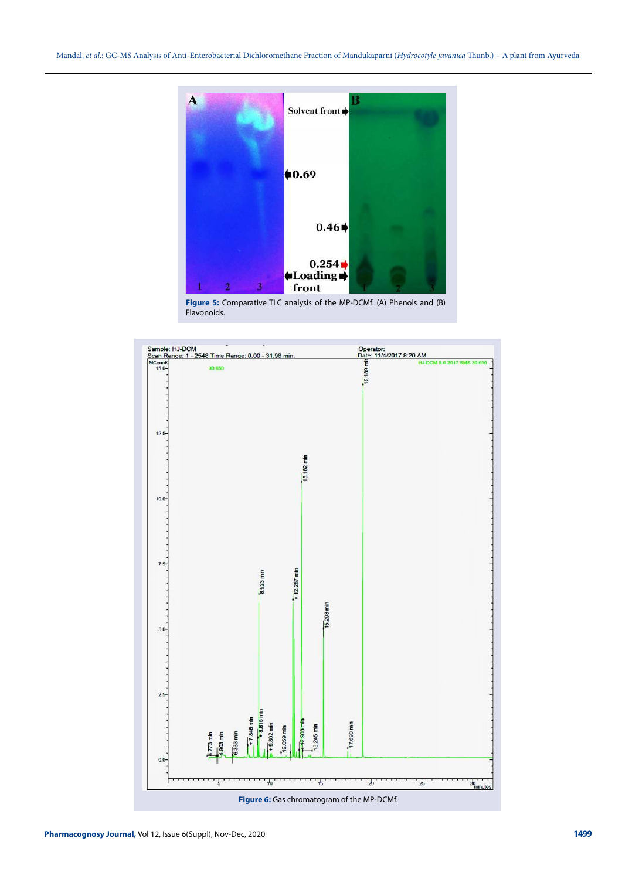

**Figure 5:** Comparative TLC analysis of the MP-DCMf. (A) Phenols and (B) Flavonoids.

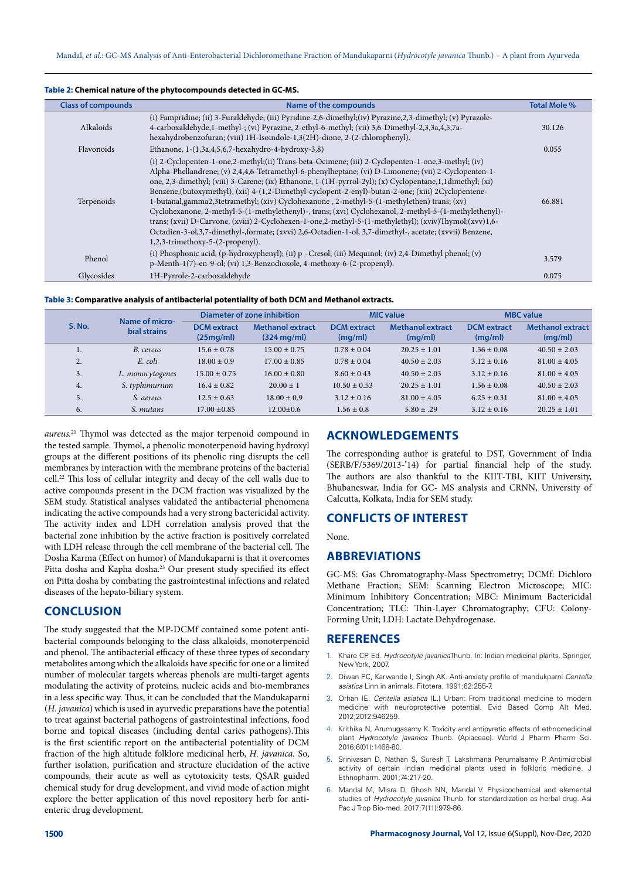| <b>Class of compounds</b> | Name of the compounds                                                                                                                                                                                                                                                                                                                                                                                                                                                                                                                                                                                                                                                                                                                                                                                                                                                                             | <b>Total Mole %</b> |
|---------------------------|---------------------------------------------------------------------------------------------------------------------------------------------------------------------------------------------------------------------------------------------------------------------------------------------------------------------------------------------------------------------------------------------------------------------------------------------------------------------------------------------------------------------------------------------------------------------------------------------------------------------------------------------------------------------------------------------------------------------------------------------------------------------------------------------------------------------------------------------------------------------------------------------------|---------------------|
| Alkaloids                 | (i) Fampridine; (ii) 3-Furaldehyde; (iii) Pyridine-2,6-dimethyl; (iv) Pyrazine, 2,3-dimethyl; (v) Pyrazole-<br>4-carboxaldehyde,1-methyl-; (vi) Pyrazine, 2-ethyl-6-methyl; (vii) 3,6-Dimethyl-2,3,3a,4,5,7a-<br>hexahydrobenzofuran; (viii) 1H-Isoindole-1,3(2H)-dione, 2-(2-chlorophenyl).                                                                                                                                                                                                                                                                                                                                                                                                                                                                                                                                                                                                      | 30.126              |
| Flavonoids                | Ethanone, $1-(1,3a,4,5,6,7$ -hexahydro-4-hydroxy-3,8)                                                                                                                                                                                                                                                                                                                                                                                                                                                                                                                                                                                                                                                                                                                                                                                                                                             | 0.055               |
| Terpenoids                | (i) 2-Cyclopenten-1-one,2-methyl;(ii) Trans-beta-Ocimene; (iii) 2-Cyclopenten-1-one,3-methyl; (iv)<br>Alpha-Phellandrene; (v) 2,4,4,6-Tetramethyl-6-phenylheptane; (vi) D-Limonene; (vii) 2-Cyclopenten-1-<br>one, 2,3-dimethyl; (viii) 3-Carene; (ix) Ethanone, 1-(1H-pyrrol-2yl); (x) Cyclopentane, 1,1dimethyl; (xi)<br>Benzene, (butoxymethyl), (xii) 4-(1,2-Dimethyl-cyclopent-2-enyl)-butan-2-one; (xiii) 2Cyclopentene-<br>1-butanal,gamma2,3tetramethyl; (xiv) Cyclohexanone, 2-methyl-5-(1-methylethen) trans; (xv)<br>Cyclohexanone, 2-methyl-5-(1-methylethenyl)-, trans; (xvi) Cyclohexanol, 2-methyl-5-(1-methylethenyl)-<br>trans; (xvii) D-Carvone, (xviii) 2-Cyclohexen-1-one,2-methyl-5-(1-methylethyl); (xviv)Thymol;(xvv)1,6-<br>Octadien-3-ol, 3,7-dimethyl-, formate; (xvvi) 2,6-Octadien-1-ol, 3,7-dimethyl-, acetate; (xvvii) Benzene,<br>1,2,3-trimethoxy-5-(2-propenyl). | 66.881              |
| Phenol                    | (i) Phosphonic acid, $(p-hydroxyphenyl)$ ; (ii) $p$ –Cresol; (iii) Mequinol; (iv) 2,4-Dimethyl phenol; (v)<br>p-Menth-1(7)-en-9-ol; (vi) 1,3-Benzodioxole, 4-methoxy-6-(2-propenyl).                                                                                                                                                                                                                                                                                                                                                                                                                                                                                                                                                                                                                                                                                                              | 3.579               |
| Glycosides                | 1H-Pyrrole-2-carboxaldehyde                                                                                                                                                                                                                                                                                                                                                                                                                                                                                                                                                                                                                                                                                                                                                                                                                                                                       | 0.075               |

#### **Table 2: Chemical nature of the phytocompounds detected in GC-MS.**



|               |    | Name of micro-<br>bial strains | Diameter of zone inhibition     |                                                  | <b>MIC</b> value              |                                    | <b>MBC</b> value              |                                    |
|---------------|----|--------------------------------|---------------------------------|--------------------------------------------------|-------------------------------|------------------------------------|-------------------------------|------------------------------------|
| <b>S. No.</b> |    |                                | <b>DCM</b> extract<br>(25mg/ml) | <b>Methanol extract</b><br>$(324 \text{ mg/ml})$ | <b>DCM</b> extract<br>(mq/ml) | <b>Methanol extract</b><br>(mq/ml) | <b>DCM</b> extract<br>(mg/ml) | <b>Methanol extract</b><br>(mg/ml) |
|               | 1. | B. cereus                      | $15.6 \pm 0.78$                 | $15.00 \pm 0.75$                                 | $0.78 \pm 0.04$               | $20.25 \pm 1.01$                   | $1.56 \pm 0.08$               | $40.50 \pm 2.03$                   |
|               | 2. | E. coli                        | $18.00 \pm 0.9$                 | $17.00 \pm 0.85$                                 | $0.78 \pm 0.04$               | $40.50 \pm 2.03$                   | $3.12 \pm 0.16$               | $81.00 \pm 4.05$                   |
|               | 3. | L. monocytogenes               | $15.00 \pm 0.75$                | $16.00 \pm 0.80$                                 | $8.60 \pm 0.43$               | $40.50 \pm 2.03$                   | $3.12 \pm 0.16$               | $81.00 \pm 4.05$                   |
| 4.            |    | S. typhimurium                 | $16.4 \pm 0.82$                 | $20.00 + 1$                                      | $10.50 \pm 0.53$              | $20.25 \pm 1.01$                   | $1.56 \pm 0.08$               | $40.50 \pm 2.03$                   |
|               | 5. | S. aereus                      | $12.5 \pm 0.63$                 | $18.00 \pm 0.9$                                  | $3.12 \pm 0.16$               | $81.00 \pm 4.05$                   | $6.25 \pm 0.31$               | $81.00 \pm 4.05$                   |
| 6.            |    | S. mutans                      | $17.00 + 0.85$                  | $12.00+0.6$                                      | $1.56 \pm 0.8$                | $5.80 \pm .29$                     | $3.12 \pm 0.16$               | $20.25 \pm 1.01$                   |

aureus.<sup>21</sup> Thymol was detected as the major terpenoid compound in the tested sample. Thymol, a phenolic monoterpenoid having hydroxyl groups at the different positions of its phenolic ring disrupts the cell membranes by interaction with the membrane proteins of the bacterial cell.<sup>22</sup> This loss of cellular integrity and decay of the cell walls due to active compounds present in the DCM fraction was visualized by the SEM study. Statistical analyses validated the antibacterial phenomena indicating the active compounds had a very strong bactericidal activity. The activity index and LDH correlation analysis proved that the bacterial zone inhibition by the active fraction is positively correlated with LDH release through the cell membrane of the bacterial cell. The Dosha Karma (Effect on humor) of Mandukaparni is that it overcomes Pitta dosha and Kapha dosha.<sup>23</sup> Our present study specified its effect on Pitta dosha by combating the gastrointestinal infections and related diseases of the hepato-biliary system.

# **CONCLUSION**

The study suggested that the MP-DCMf contained some potent antibacterial compounds belonging to the class alkaloids, monoterpenoid and phenol. The antibacterial efficacy of these three types of secondary metabolites among which the alkaloids have specific for one or a limited number of molecular targets whereas phenols are multi-target agents modulating the activity of proteins, nucleic acids and bio-membranes in a less specific way. Thus, it can be concluded that the Mandukaparni (H. javanica) which is used in ayurvedic preparations have the potential to treat against bacterial pathogens of gastrointestinal infections, food borne and topical diseases (including dental caries pathogens).This is the first scientific report on the antibacterial potentiality of DCM fraction of the high altitude folklore medicinal herb, H. javanica. So, further isolation, purification and structure elucidation of the active compounds, their acute as well as cytotoxicity tests, QSAR guided chemical study for drug development, and vivid mode of action might explore the better application of this novel repository herb for antienteric drug development.

# **ACKNOWLEDGEMENTS**

The corresponding author is grateful to DST, Government of India (SERB/F/5369/2013-'14) for partial financial help of the study. The authors are also thankful to the KIIT-TBI, KIIT University, Bhubaneswar, India for GC- MS analysis and CRNN, University of Calcutta, Kolkata, India for SEM study.

# **CONFLICTS OF INTEREST**

None.

### **ABBREVIATIONS**

GC-MS: Gas Chromatography-Mass Spectrometry; DCMf: Dichloro Methane Fraction; SEM: Scanning Electron Microscope; MIC: Minimum Inhibitory Concentration; MBC: Minimum Bactericidal Concentration; TLC: Thin-Layer Chromatography; CFU: Colony-Forming Unit; LDH: Lactate Dehydrogenase.

# **REFERENCES**

- 1. Khare CP. Ed. Hydrocotyle javanicaThunb. In: Indian medicinal plants. Springer, New York, 2007.
- 2. Diwan PC, Karwande I, Singh AK. Anti-anxiety profile of mandukparni Centella asiatica Linn in animals. Fitotera. 1991;62:255-7.
- 3. Orhan IE. Centella asiatica (L.) Urban: From traditional medicine to modern medicine with neuroprotective potential. Evid Based Comp Alt Med. 2012;2012:946259.
- 4. Krithika N, Arumugasamy K. Toxicity and antipyretic effects of ethnomedicinal plant Hydrocotyle javanica Thunb. (Apiaceae). World J Pharm Pharm Sci. 2016;6(01):1468-80.
- 5. Srinivasan D, Nathan S, Suresh T, Lakshmana Perumalsamy P. Antimicrobial activity of certain Indian medicinal plants used in folkloric medicine. J Ethnopharm. 2001;74:217-20.
- 6. Mandal M, Misra D, Ghosh NN, Mandal V. Physicochemical and elemental studies of Hydrocotyle javanica Thunb. for standardization as herbal drug. Asi Pac J Trop Bio-med. 2017;7(11):979-86.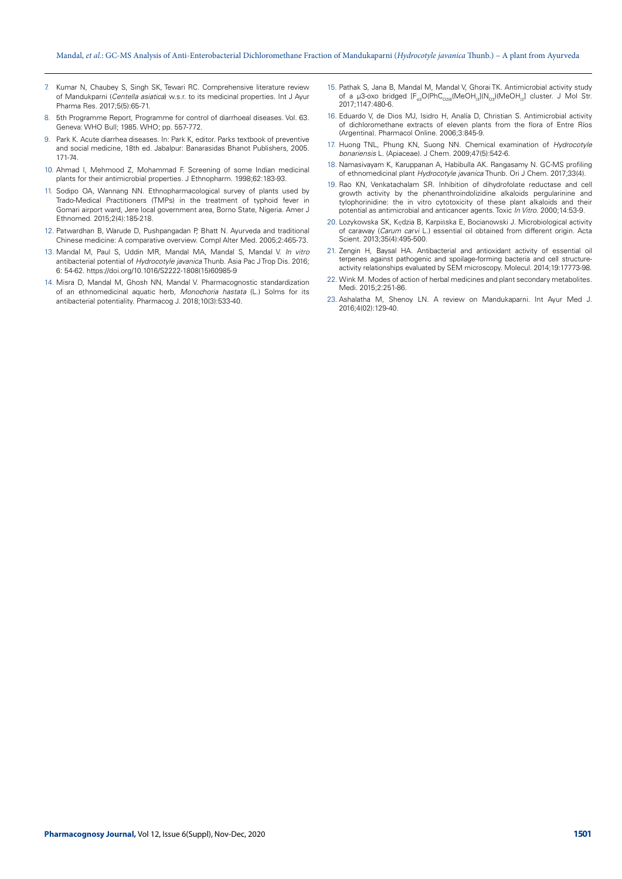- 7. Kumar N, Chaubey S, Singh SK, Tewari RC. Comprehensive literature review of Mandukparni (Centella asiatica) w.s.r. to its medicinal properties. Int J Ayur Pharma Res. 2017;5(5):65-71.
- 8. 5th Programme Report, Programme for control of diarrhoeal diseases. Vol. 63. Geneva: WHO Bull; 1985. WHO; pp. 557-772.
- 9. Park K. Acute diarrhea diseases. In: Park K, editor. Parks textbook of preventive and social medicine, 18th ed. Jabalpur: Banarasidas Bhanot Publishers, 2005. 171-74.
- 10. Ahmad I, Mehmood Z, Mohammad F. Screening of some Indian medicinal plants for their antimicrobial properties. J Ethnopharm. 1998;62:183-93.
- 11. Sodipo OA, Wannang NN. Ethnopharmacological survey of plants used by Trado-Medical Practitioners (TMPs) in the treatment of typhoid fever in Gomari airport ward, Jere local government area, Borno State, Nigeria. Amer J Ethnomed. 2015;2(4):185-218.
- 12. Patwardhan B, Warude D, Pushpangadan P, Bhatt N. Ayurveda and traditional Chinese medicine: A comparative overview. Compl Alter Med. 2005;2:465-73.
- 13. Mandal M, Paul S, Uddin MR, Mandal MA, Mandal S, Mandal V. In vitro antibacterial potential of Hydrocotyle javanica Thunb. Asia Pac J Trop Dis. 2016; 6: 54-62. https://doi.org/10.1016/S2222-1808(15)60985-9
- 14. Misra D, Mandal M, Ghosh NN, Mandal V. Pharmacognostic standardization of an ethnomedicinal aquatic herb, Monochoria hastata (L.) Solms for its antibacterial potentiality. Pharmacog J. 2018;10(3):533-40.
- 15. Pathak S, Jana B, Mandal M, Mandal V, Ghorai TK. Antimicrobial activity study of a µ3-oxo bridged  $[F_{e3}O(PhC_{O216}(MeOH_{13}]/N_{O3})(MeOH_{12})$  cluster. J Mol Str. 2017;1147:480-6.
- 16. Eduardo V, de Dios MJ, Isidro H, Analía D, Christian S. Antimicrobial activity of dichloromethane extracts of eleven plants from the flora of Entre Ríos (Argentina). Pharmacol Online. 2006;3:845-9.
- 17. Huong TNL, Phung KN, Suong NN. Chemical examination of Hydrocotyle bonariensis L. (Apiaceae). J Chem. 2009;47(5):542-6.
- 18. Namasivayam K, Karuppanan A, Habibulla AK. Rangasamy N. GC-MS profiling of ethnomedicinal plant Hydrocotyle javanica Thunb. Ori J Chem. 2017;33(4).
- 19. Rao KN, Venkatachalam SR. Inhibition of dihydrofolate reductase and cell growth activity by the phenanthroindolizidine alkaloids pergularinine and tylophorinidine: the in vitro cytotoxicity of these plant alkaloids and their potential as antimicrobial and anticancer agents. Toxic In Vitro. 2000;14:53-9.
- 20. Lozykowska SK, Kędzia B, Karpińska E, Bocianowski J. Microbiological activity of caraway (Carum carvi L.) essential oil obtained from different origin. Acta Scient. 2013;35(4):495-500.
- 21. Zengin H, Baysal HA. Antibacterial and antioxidant activity of essential oil terpenes against pathogenic and spoilage-forming bacteria and cell structureactivity relationships evaluated by SEM microscopy. Molecul. 2014;19:17773-98.
- 22. Wink M. Modes of action of herbal medicines and plant secondary metabolites. Medi. 2015;2:251-86.
- 23. Ashalatha M, Shenoy LN. A review on Mandukaparni. Int Ayur Med J. 2016;4(02):129-40.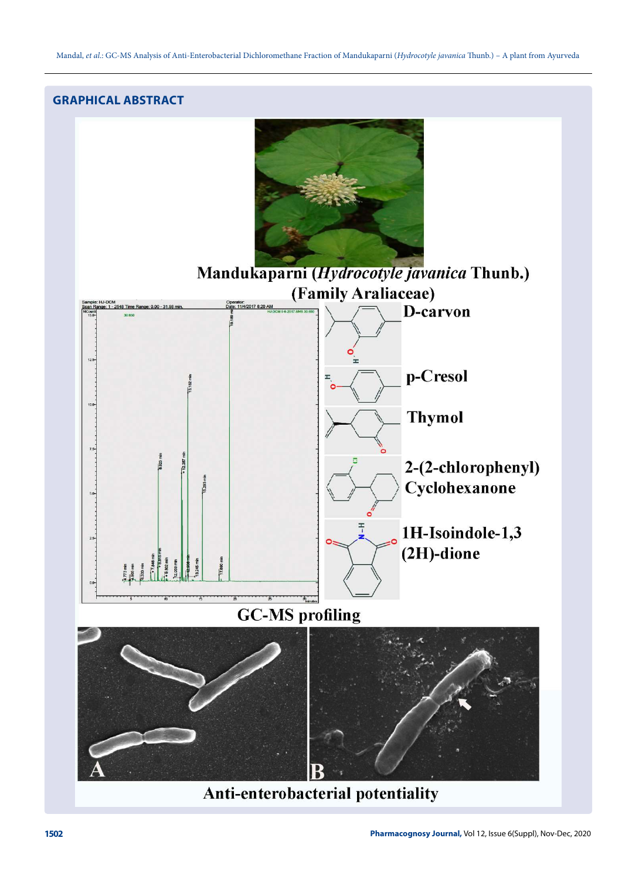